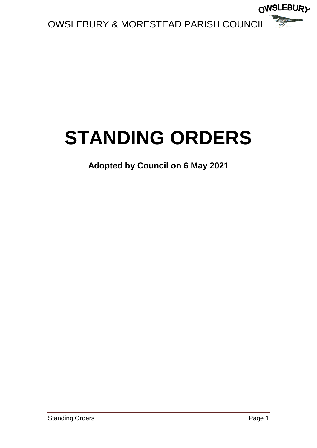

# **STANDING ORDERS**

**Adopted by Council on 6 May 2021**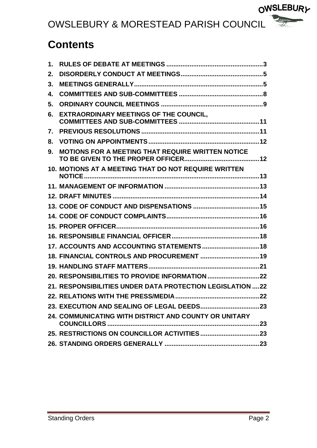### **Contents**

| 1. |                                                            |  |
|----|------------------------------------------------------------|--|
| 2. |                                                            |  |
| 3. |                                                            |  |
| 4. |                                                            |  |
| 5. |                                                            |  |
| 6. | <b>EXTRAORDINARY MEETINGS OF THE COUNCIL,</b>              |  |
| 7. |                                                            |  |
| 8. |                                                            |  |
| 9. | <b>MOTIONS FOR A MEETING THAT REQUIRE WRITTEN NOTICE</b>   |  |
|    | 10. MOTIONS AT A MEETING THAT DO NOT REQUIRE WRITTEN       |  |
|    |                                                            |  |
|    |                                                            |  |
|    |                                                            |  |
|    |                                                            |  |
|    |                                                            |  |
|    |                                                            |  |
|    | 17. ACCOUNTS AND ACCOUNTING STATEMENTS 18                  |  |
|    | 18. FINANCIAL CONTROLS AND PROCUREMENT  19                 |  |
|    |                                                            |  |
|    |                                                            |  |
|    | 21. RESPONSIBILITIES UNDER DATA PROTECTION LEGISLATION  22 |  |
|    |                                                            |  |
|    |                                                            |  |
|    | 24. COMMUNICATING WITH DISTRICT AND COUNTY OR UNITARY      |  |
|    |                                                            |  |
|    |                                                            |  |

OWSLEBURY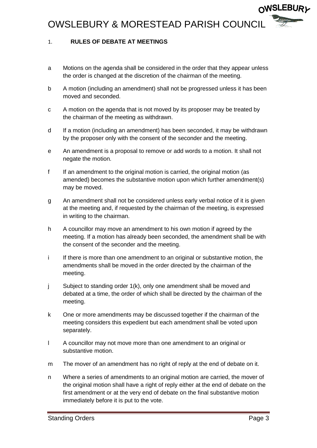#### <span id="page-2-0"></span>1. **RULES OF DEBATE AT MEETINGS**

- a Motions on the agenda shall be considered in the order that they appear unless the order is changed at the discretion of the chairman of the meeting.
- b A motion (including an amendment) shall not be progressed unless it has been moved and seconded.
- c A motion on the agenda that is not moved by its proposer may be treated by the chairman of the meeting as withdrawn.
- d If a motion (including an amendment) has been seconded, it may be withdrawn by the proposer only with the consent of the seconder and the meeting.
- e An amendment is a proposal to remove or add words to a motion. It shall not negate the motion.
- f If an amendment to the original motion is carried, the original motion (as amended) becomes the substantive motion upon which further amendment(s) may be moved.
- g An amendment shall not be considered unless early verbal notice of it is given at the meeting and, if requested by the chairman of the meeting, is expressed in writing to the chairman.
- h A councillor may move an amendment to his own motion if agreed by the meeting. If a motion has already been seconded, the amendment shall be with the consent of the seconder and the meeting.
- i If there is more than one amendment to an original or substantive motion, the amendments shall be moved in the order directed by the chairman of the meeting.
- j Subject to standing order 1(k), only one amendment shall be moved and debated at a time, the order of which shall be directed by the chairman of the meeting.
- k One or more amendments may be discussed together if the chairman of the meeting considers this expedient but each amendment shall be voted upon separately.
- l A councillor may not move more than one amendment to an original or substantive motion.
- m The mover of an amendment has no right of reply at the end of debate on it.
- n Where a series of amendments to an original motion are carried, the mover of the original motion shall have a right of reply either at the end of debate on the first amendment or at the very end of debate on the final substantive motion immediately before it is put to the vote.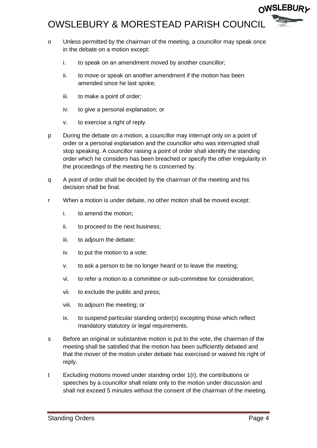- o Unless permitted by the chairman of the meeting, a councillor may speak once in the debate on a motion except:
	- i. to speak on an amendment moved by another councillor;
	- ii. to move or speak on another amendment if the motion has been amended since he last spoke;
	- iii. to make a point of order;
	- iv. to give a personal explanation; or
	- v. to exercise a right of reply.
- p During the debate on a motion, a councillor may interrupt only on a point of order or a personal explanation and the councillor who was interrupted shall stop speaking. A councillor raising a point of order shall identify the standing order which he considers has been breached or specify the other irregularity in the proceedings of the meeting he is concerned by.
- q A point of order shall be decided by the chairman of the meeting and his decision shall be final.
- r When a motion is under debate, no other motion shall be moved except:
	- i. to amend the motion;
	- ii. to proceed to the next business;
	- iii. to adjourn the debate;
	- iv. to put the motion to a vote;
	- v. to ask a person to be no longer heard or to leave the meeting;
	- vi. to refer a motion to a committee or sub-committee for consideration;
	- vii. to exclude the public and press;
	- viii. to adjourn the meeting; or
	- ix. to suspend particular standing order(s) excepting those which reflect mandatory statutory or legal requirements.
- s Before an original or substantive motion is put to the vote, the chairman of the meeting shall be satisfied that the motion has been sufficiently debated and that the mover of the motion under debate has exercised or waived his right of reply.
- t Excluding motions moved under standing order 1(r), the contributions or speeches by a councillor shall relate only to the motion under discussion and shall not exceed 5 minutes without the consent of the chairman of the meeting.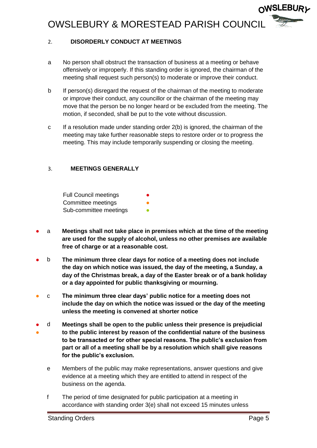#### <span id="page-4-0"></span>2. **DISORDERLY CONDUCT AT MEETINGS**

- a No person shall obstruct the transaction of business at a meeting or behave offensively or improperly. If this standing order is ignored, the chairman of the meeting shall request such person(s) to moderate or improve their conduct.
- b If person(s) disregard the request of the chairman of the meeting to moderate or improve their conduct, any councillor or the chairman of the meeting may move that the person be no longer heard or be excluded from the meeting. The motion, if seconded, shall be put to the vote without discussion.
- c If a resolution made under standing order 2(b) is ignored, the chairman of the meeting may take further reasonable steps to restore order or to progress the meeting. This may include temporarily suspending or closing the meeting.

#### <span id="page-4-1"></span>3. **MEETINGS GENERALLY**

Full Council meetings Committee meetings Sub-committee meetings

- a **Meetings shall not take place in premises which at the time of the meeting are used for the supply of alcohol, unless no other premises are available free of charge or at a reasonable cost.**
- b **The minimum three clear days for notice of a meeting does not include the day on which notice was issued, the day of the meeting, a Sunday, a day of the Christmas break, a day of the Easter break or of a bank holiday or a day appointed for public thanksgiving or mourning.**
- c **The minimum three clear days' public notice for a meeting does not include the day on which the notice was issued or the day of the meeting unless the meeting is convened at shorter notice**
- ● d **Meetings shall be open to the public unless their presence is prejudicial to the public interest by reason of the confidential nature of the business to be transacted or for other special reasons. The public's exclusion from part or all of a meeting shall be by a resolution which shall give reasons for the public's exclusion.**
	- e Members of the public may make representations, answer questions and give evidence at a meeting which they are entitled to attend in respect of the business on the agenda.
	- f The period of time designated for public participation at a meeting in accordance with standing order 3(e) shall not exceed 15 minutes unless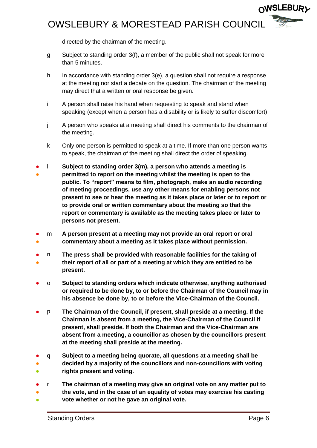directed by the chairman of the meeting.

- g Subject to standing order 3(f), a member of the public shall not speak for more than 5 minutes.
- h In accordance with standing order 3(e), a question shall not require a response at the meeting nor start a debate on the question. The chairman of the meeting may direct that a written or oral response be given.
- i A person shall raise his hand when requesting to speak and stand when speaking (except when a person has a disability or is likely to suffer discomfort).
- j A person who speaks at a meeting shall direct his comments to the chairman of the meeting.
- k Only one person is permitted to speak at a time. If more than one person wants to speak, the chairman of the meeting shall direct the order of speaking.
- l **Subject to standing order 3(m), a person who attends a meeting is**
- **permitted to report on the meeting whilst the meeting is open to the public. To "report" means to film, photograph, make an audio recording of meeting proceedings, use any other means for enabling persons not present to see or hear the meeting as it takes place or later or to report or to provide oral or written commentary about the meeting so that the report or commentary is available as the meeting takes place or later to persons not present.**
- ● m **A person present at a meeting may not provide an oral report or oral commentary about a meeting as it takes place without permission.**
- ● n **The press shall be provided with reasonable facilities for the taking of their report of all or part of a meeting at which they are entitled to be present.**
- o **Subject to standing orders which indicate otherwise, anything authorised or required to be done by, to or before the Chairman of the Council may in his absence be done by, to or before the Vice-Chairman of the Council.**
- p **The Chairman of the Council, if present, shall preside at a meeting. If the Chairman is absent from a meeting, the Vice-Chairman of the Council if present, shall preside. If both the Chairman and the Vice-Chairman are absent from a meeting, a councillor as chosen by the councillors present at the meeting shall preside at the meeting.**
- ● ● q **Subject to a meeting being quorate, all questions at a meeting shall be decided by a majority of the councillors and non-councillors with voting rights present and voting.**
- r **The chairman of a meeting may give an original vote on any matter put to**
- ● **the vote, and in the case of an equality of votes may exercise his casting vote whether or not he gave an original vote.**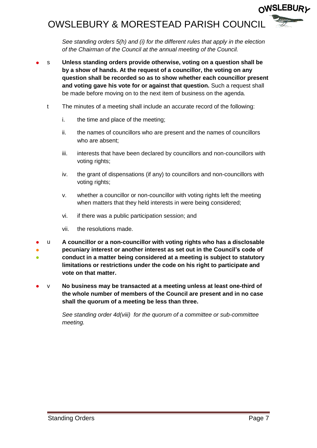### **OWSLEBURL** OWSLEBURY & MORESTEAD PARISH COUNCIL

*See standing orders 5(h) and (i) for the different rules that apply in the election of the Chairman of the Council at the annual meeting of the Council.*

- s **Unless standing orders provide otherwise, voting on a question shall be by a show of hands. At the request of a councillor, the voting on any question shall be recorded so as to show whether each councillor present and voting gave his vote for or against that question.** Such a request shall be made before moving on to the next item of business on the agenda.
	- t The minutes of a meeting shall include an accurate record of the following:
		- i. the time and place of the meeting;
		- ii. the names of councillors who are present and the names of councillors who are absent;
		- iii. interests that have been declared by councillors and non-councillors with voting rights;
		- iv. the grant of dispensations (if any) to councillors and non-councillors with voting rights:
		- v. whether a councillor or non-councillor with voting rights left the meeting when matters that they held interests in were being considered;
		- vi. if there was a public participation session; and
		- vii. the resolutions made.
- u **A councillor or a non-councillor with voting rights who has a disclosable**
- ● **pecuniary interest or another interest as set out in the Council's code of conduct in a matter being considered at a meeting is subject to statutory limitations or restrictions under the code on his right to participate and vote on that matter.**
- v **No business may be transacted at a meeting unless at least one-third of the whole number of members of the Council are present and in no case shall the quorum of a meeting be less than three.**

*See standing order 4d(viii) for the quorum of a committee or sub-committee meeting.*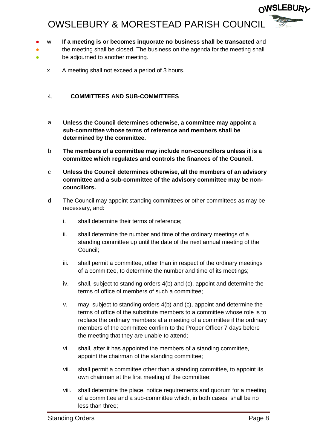- w **If a meeting is or becomes inquorate no business shall be transacted** and
- the meeting shall be closed. The business on the agenda for the meeting shall
- be adjourned to another meeting.
	- x A meeting shall not exceed a period of 3 hours.

#### <span id="page-7-0"></span>4. **COMMITTEES AND SUB-COMMITTEES**

- a **Unless the Council determines otherwise, a committee may appoint a sub-committee whose terms of reference and members shall be determined by the committee.**
- b **The members of a committee may include non-councillors unless it is a committee which regulates and controls the finances of the Council.**
- c **Unless the Council determines otherwise, all the members of an advisory committee and a sub-committee of the advisory committee may be noncouncillors.**
- d The Council may appoint standing committees or other committees as may be necessary, and:
	- i. shall determine their terms of reference;
	- ii. shall determine the number and time of the ordinary meetings of a standing committee up until the date of the next annual meeting of the Council;
	- iii. shall permit a committee, other than in respect of the ordinary meetings of a committee, to determine the number and time of its meetings;
	- iv. shall, subject to standing orders 4(b) and (c), appoint and determine the terms of office of members of such a committee;
	- v. may, subject to standing orders 4(b) and (c), appoint and determine the terms of office of the substitute members to a committee whose role is to replace the ordinary members at a meeting of a committee if the ordinary members of the committee confirm to the Proper Officer 7 days before the meeting that they are unable to attend;
	- vi. shall, after it has appointed the members of a standing committee, appoint the chairman of the standing committee;
	- vii. shall permit a committee other than a standing committee, to appoint its own chairman at the first meeting of the committee;
	- viii. shall determine the place, notice requirements and quorum for a meeting of a committee and a sub-committee which, in both cases, shall be no less than three;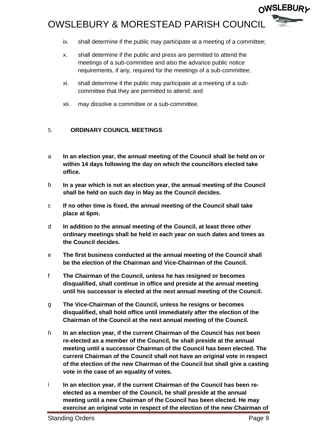- ix. shall determine if the public may participate at a meeting of a committee;
- x. shall determine if the public and press are permitted to attend the meetings of a sub-committee and also the advance public notice requirements, if any, required for the meetings of a sub-committee;
- xi. shall determine if the public may participate at a meeting of a subcommittee that they are permitted to attend; and
- xii. may dissolve a committee or a sub-committee.

#### <span id="page-8-0"></span>5. **ORDINARY COUNCIL MEETINGS**

- a **In an election year, the annual meeting of the Council shall be held on or within 14 days following the day on which the councillors elected take office.**
- b **In a year which is not an election year, the annual meeting of the Council shall be held on such day in May as the Council decides.**
- c **If no other time is fixed, the annual meeting of the Council shall take place at 6pm.**
- d **In addition to the annual meeting of the Council, at least three other ordinary meetings shall be held in each year on such dates and times as the Council decides.**
- e **The first business conducted at the annual meeting of the Council shall be the election of the Chairman and Vice-Chairman of the Council.**
- f **The Chairman of the Council, unless he has resigned or becomes disqualified, shall continue in office and preside at the annual meeting until his successor is elected at the next annual meeting of the Council.**
- g **The Vice-Chairman of the Council, unless he resigns or becomes disqualified, shall hold office until immediately after the election of the Chairman of the Council at the next annual meeting of the Council.**
- h **In an election year, if the current Chairman of the Council has not been re-elected as a member of the Council, he shall preside at the annual meeting until a successor Chairman of the Council has been elected. The current Chairman of the Council shall not have an original vote in respect of the election of the new Chairman of the Council but shall give a casting vote in the case of an equality of votes.**
- i **In an election year, if the current Chairman of the Council has been reelected as a member of the Council, he shall preside at the annual meeting until a new Chairman of the Council has been elected. He may exercise an original vote in respect of the election of the new Chairman of**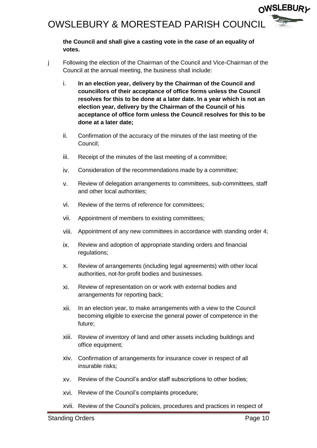**the Council and shall give a casting vote in the case of an equality of votes.**

- j Following the election of the Chairman of the Council and Vice-Chairman of the Council at the annual meeting, the business shall include:
	- i. **In an election year, delivery by the Chairman of the Council and councillors of their acceptance of office forms unless the Council resolves for this to be done at a later date. In a year which is not an election year, delivery by the Chairman of the Council of his acceptance of office form unless the Council resolves for this to be done at a later date;**
	- ii. Confirmation of the accuracy of the minutes of the last meeting of the Council;
	- iii. Receipt of the minutes of the last meeting of a committee;
	- iv. Consideration of the recommendations made by a committee;
	- v. Review of delegation arrangements to committees, sub-committees, staff and other local authorities;
	- vi. Review of the terms of reference for committees;
	- vii. Appointment of members to existing committees;
	- viii. Appointment of any new committees in accordance with standing order 4;
	- ix. Review and adoption of appropriate standing orders and financial regulations;
	- x. Review of arrangements (including legal agreements) with other local authorities, not-for-profit bodies and businesses.
	- xi. Review of representation on or work with external bodies and arrangements for reporting back;
	- xii. In an election year, to make arrangements with a view to the Council becoming eligible to exercise the general power of competence in the future;
	- xiii. Review of inventory of land and other assets including buildings and office equipment;
	- xiv. Confirmation of arrangements for insurance cover in respect of all insurable risks;
	- xv. Review of the Council's and/or staff subscriptions to other bodies;
	- xvi. Review of the Council's complaints procedure;
	- xvii. Review of the Council's policies, procedures and practices in respect of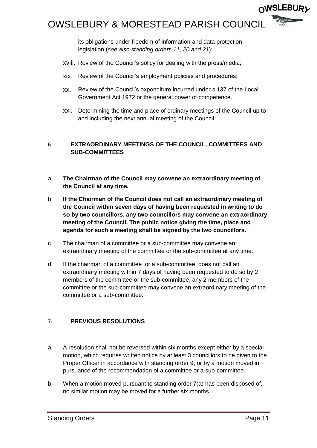

its obligations under freedom of information and data protection legislation (*see also standing orders 11, 20 and 21*);

- xviii. Review of the Council's policy for dealing with the press/media;
- xix. Review of the Council's employment policies and procedures;
- xx. Review of the Council's expenditure incurred under s.137 of the Local Government Act 1972 or the general power of competence.
- xxi. Determining the time and place of ordinary meetings of the Council up to and including the next annual meeting of the Council.

#### <span id="page-10-0"></span>6. **EXTRAORDINARY MEETINGS OF THE COUNCIL, COMMITTEES AND SUB-COMMITTEES**

- a **The Chairman of the Council may convene an extraordinary meeting of the Council at any time.**
- b **If the Chairman of the Council does not call an extraordinary meeting of the Council within seven days of having been requested in writing to do so by two councillors, any two councillors may convene an extraordinary meeting of the Council. The public notice giving the time, place and agenda for such a meeting shall be signed by the two councillors.**
- c The chairman of a committee or a sub-committee may convene an extraordinary meeting of the committee or the sub-committee at any time.
- d If the chairman of a committee [or a sub-committee] does not call an extraordinary meeting within 7 days of having been requested to do so by 2 members of the committee or the sub-committee, any 2 members of the committee or the sub-committee may convene an extraordinary meeting of the committee or a sub-committee.

#### <span id="page-10-1"></span>7. **PREVIOUS RESOLUTIONS**

- a A resolution shall not be reversed within six months except either by a special motion, which requires written notice by at least 3 councillors to be given to the Proper Officer in accordance with standing order 9, or by a motion moved in pursuance of the recommendation of a committee or a sub-committee.
- b When a motion moved pursuant to standing order 7(a) has been disposed of, no similar motion may be moved for a further six months.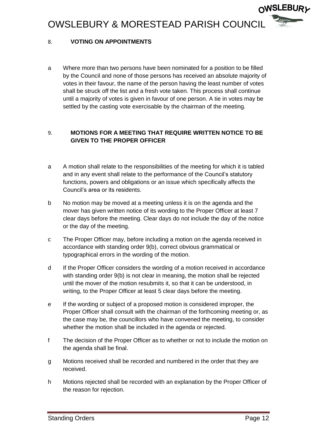#### <span id="page-11-0"></span>8. **VOTING ON APPOINTMENTS**

a Where more than two persons have been nominated for a position to be filled by the Council and none of those persons has received an absolute majority of votes in their favour, the name of the person having the least number of votes shall be struck off the list and a fresh vote taken. This process shall continue until a majority of votes is given in favour of one person. A tie in votes may be settled by the casting vote exercisable by the chairman of the meeting.

#### <span id="page-11-1"></span>9. **MOTIONS FOR A MEETING THAT REQUIRE WRITTEN NOTICE TO BE GIVEN TO THE PROPER OFFICER**

- a A motion shall relate to the responsibilities of the meeting for which it is tabled and in any event shall relate to the performance of the Council's statutory functions, powers and obligations or an issue which specifically affects the Council's area or its residents.
- b No motion may be moved at a meeting unless it is on the agenda and the mover has given written notice of its wording to the Proper Officer at least 7 clear days before the meeting. Clear days do not include the day of the notice or the day of the meeting.
- c The Proper Officer may, before including a motion on the agenda received in accordance with standing order 9(b), correct obvious grammatical or typographical errors in the wording of the motion.
- d If the Proper Officer considers the wording of a motion received in accordance with standing order 9(b) is not clear in meaning, the motion shall be rejected until the mover of the motion resubmits it, so that it can be understood, in writing, to the Proper Officer at least 5 clear days before the meeting.
- e If the wording or subject of a proposed motion is considered improper, the Proper Officer shall consult with the chairman of the forthcoming meeting or, as the case may be, the councillors who have convened the meeting, to consider whether the motion shall be included in the agenda or rejected.
- f The decision of the Proper Officer as to whether or not to include the motion on the agenda shall be final.
- g Motions received shall be recorded and numbered in the order that they are received.
- h Motions rejected shall be recorded with an explanation by the Proper Officer of the reason for rejection.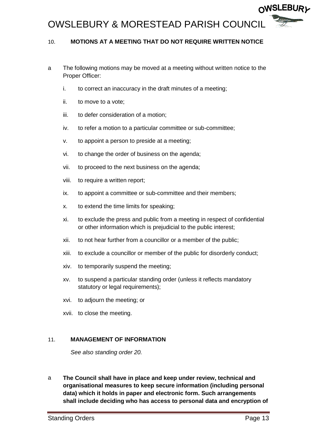

#### <span id="page-12-0"></span>10. **MOTIONS AT A MEETING THAT DO NOT REQUIRE WRITTEN NOTICE**

- a The following motions may be moved at a meeting without written notice to the Proper Officer:
	- i. to correct an inaccuracy in the draft minutes of a meeting;
	- ii. to move to a vote;
	- iii. to defer consideration of a motion;
	- iv. to refer a motion to a particular committee or sub-committee;
	- v. to appoint a person to preside at a meeting;
	- vi. to change the order of business on the agenda;
	- vii. to proceed to the next business on the agenda;
	- viii. to require a written report;
	- ix. to appoint a committee or sub-committee and their members;
	- x. to extend the time limits for speaking;
	- xi. to exclude the press and public from a meeting in respect of confidential or other information which is prejudicial to the public interest;
	- xii. to not hear further from a councillor or a member of the public;
	- xiii. to exclude a councillor or member of the public for disorderly conduct;
	- xiv. to temporarily suspend the meeting;
	- xv. to suspend a particular standing order (unless it reflects mandatory statutory or legal requirements);
	- xvi. to adjourn the meeting; or
	- xvii. to close the meeting.

#### <span id="page-12-1"></span>11. **MANAGEMENT OF INFORMATION**

*See also standing order 20.*

a **The Council shall have in place and keep under review, technical and organisational measures to keep secure information (including personal data) which it holds in paper and electronic form. Such arrangements shall include deciding who has access to personal data and encryption of**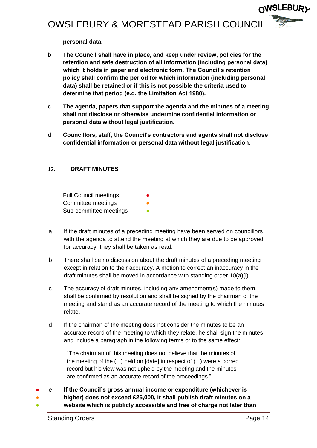**personal data.**

- b **The Council shall have in place, and keep under review, policies for the retention and safe destruction of all information (including personal data) which it holds in paper and electronic form. The Council's retention policy shall confirm the period for which information (including personal data) shall be retained or if this is not possible the criteria used to determine that period (e.g. the Limitation Act 1980).**
- c **The agenda, papers that support the agenda and the minutes of a meeting shall not disclose or otherwise undermine confidential information or personal data without legal justification.**
- d **Councillors, staff, the Council's contractors and agents shall not disclose confidential information or personal data without legal justification.**

#### <span id="page-13-0"></span>12. **DRAFT MINUTES**

**Full Council meetings** Committee meetings Sub-committee meetings

- a If the draft minutes of a preceding meeting have been served on councillors with the agenda to attend the meeting at which they are due to be approved for accuracy, they shall be taken as read.
- b There shall be no discussion about the draft minutes of a preceding meeting except in relation to their accuracy. A motion to correct an inaccuracy in the draft minutes shall be moved in accordance with standing order 10(a)(i).
- c The accuracy of draft minutes, including any amendment(s) made to them, shall be confirmed by resolution and shall be signed by the chairman of the meeting and stand as an accurate record of the meeting to which the minutes relate.
- d If the chairman of the meeting does not consider the minutes to be an accurate record of the meeting to which they relate, he shall sign the minutes and include a paragraph in the following terms or to the same effect:

"The chairman of this meeting does not believe that the minutes of the meeting of the ( ) held on [date] in respect of ( ) were a correct record but his view was not upheld by the meeting and the minutes are confirmed as an accurate record of the proceedings."

- e **If the Council's gross annual income or expenditure (whichever is** 
	- **higher) does not exceed £25,000, it shall publish draft minutes on a**
- **website which is publicly accessible and free of charge not later than**

●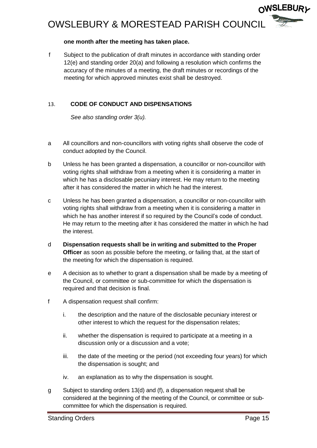#### **one month after the meeting has taken place.**

f Subject to the publication of draft minutes in accordance with standing order 12(e) and standing order 20(a) and following a resolution which confirms the accuracy of the minutes of a meeting, the draft minutes or recordings of the meeting for which approved minutes exist shall be destroyed.

#### <span id="page-14-0"></span>13. **CODE OF CONDUCT AND DISPENSATIONS**

*See also standing order 3(u).*

- a All councillors and non-councillors with voting rights shall observe the code of conduct adopted by the Council.
- b Unless he has been granted a dispensation, a councillor or non-councillor with voting rights shall withdraw from a meeting when it is considering a matter in which he has a disclosable pecuniary interest. He may return to the meeting after it has considered the matter in which he had the interest.
- c Unless he has been granted a dispensation, a councillor or non-councillor with voting rights shall withdraw from a meeting when it is considering a matter in which he has another interest if so required by the Council's code of conduct. He may return to the meeting after it has considered the matter in which he had the interest.
- d **Dispensation requests shall be in writing and submitted to the Proper Officer** as soon as possible before the meeting, or failing that, at the start of the meeting for which the dispensation is required.
- e A decision as to whether to grant a dispensation shall be made by a meeting of the Council, or committee or sub-committee for which the dispensation is required and that decision is final.
- f A dispensation request shall confirm:
	- i. the description and the nature of the disclosable pecuniary interest or other interest to which the request for the dispensation relates;
	- ii. whether the dispensation is required to participate at a meeting in a discussion only or a discussion and a vote;
	- iii. the date of the meeting or the period (not exceeding four years) for which the dispensation is sought; and
	- iv. an explanation as to why the dispensation is sought.
- g Subject to standing orders 13(d) and (f), a dispensation request shall be considered at the beginning of the meeting of the Council, or committee or subcommittee for which the dispensation is required.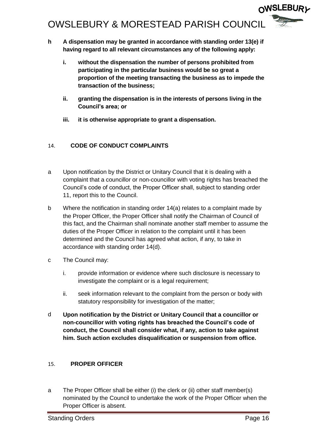**OWSLEBURL** OWSLEBURY & MORESTEAD PARISH COUNCIL

- **h A dispensation may be granted in accordance with standing order 13(e) if having regard to all relevant circumstances any of the following apply:**
	- **i. without the dispensation the number of persons prohibited from participating in the particular business would be so great a proportion of the meeting transacting the business as to impede the transaction of the business;**
	- **ii. granting the dispensation is in the interests of persons living in the Council's area; or**
	- **iii. it is otherwise appropriate to grant a dispensation.**

#### <span id="page-15-0"></span>14. **CODE OF CONDUCT COMPLAINTS**

- a Upon notification by the District or Unitary Council that it is dealing with a complaint that a councillor or non-councillor with voting rights has breached the Council's code of conduct, the Proper Officer shall, subject to standing order 11, report this to the Council.
- b Where the notification in standing order 14(a) relates to a complaint made by the Proper Officer, the Proper Officer shall notify the Chairman of Council of this fact, and the Chairman shall nominate another staff member to assume the duties of the Proper Officer in relation to the complaint until it has been determined and the Council has agreed what action, if any, to take in accordance with standing order 14(d).
- c The Council may:
	- i. provide information or evidence where such disclosure is necessary to investigate the complaint or is a legal requirement;
	- ii. seek information relevant to the complaint from the person or body with statutory responsibility for investigation of the matter;
- d **Upon notification by the District or Unitary Council that a councillor or non-councillor with voting rights has breached the Council's code of conduct, the Council shall consider what, if any, action to take against him. Such action excludes disqualification or suspension from office.**

#### <span id="page-15-1"></span>15. **PROPER OFFICER**

a The Proper Officer shall be either (i) the clerk or (ii) other staff member(s) nominated by the Council to undertake the work of the Proper Officer when the Proper Officer is absent.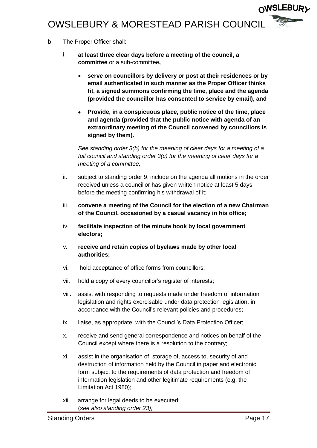- b The Proper Officer shall:
	- i. **at least three clear days before a meeting of the council, a committee** or a sub-committee**,**
		- **serve on councillors by delivery or post at their residences or by email authenticated in such manner as the Proper Officer thinks fit, a signed summons confirming the time, place and the agenda (provided the councillor has consented to service by email), and**
		- **Provide, in a conspicuous place, public notice of the time, place and agenda (provided that the public notice with agenda of an extraordinary meeting of the Council convened by councillors is signed by them).**

*See standing order 3(b) for the meaning of clear days for a meeting of a full council and standing order 3(c) for the meaning of clear days for a meeting of a committee;*

- ii. subject to standing order 9, include on the agenda all motions in the order received unless a councillor has given written notice at least 5 days before the meeting confirming his withdrawal of it;
- iii. **convene a meeting of the Council for the election of a new Chairman of the Council, occasioned by a casual vacancy in his office;**
- iv. **facilitate inspection of the minute book by local government electors;**
- v. **receive and retain copies of byelaws made by other local authorities;**
- vi. hold acceptance of office forms from councillors;
- vii. hold a copy of every councillor's register of interests;
- viii. assist with responding to requests made under freedom of information legislation and rights exercisable under data protection legislation, in accordance with the Council's relevant policies and procedures;
- ix. liaise, as appropriate, with the Council's Data Protection Officer;
- x. receive and send general correspondence and notices on behalf of the Council except where there is a resolution to the contrary;
- xi. assist in the organisation of, storage of, access to, security of and destruction of information held by the Council in paper and electronic form subject to the requirements of data protection and freedom of information legislation and other legitimate requirements (e.g. the Limitation Act 1980);
- xii. arrange for legal deeds to be executed; (*see also standing order 23);*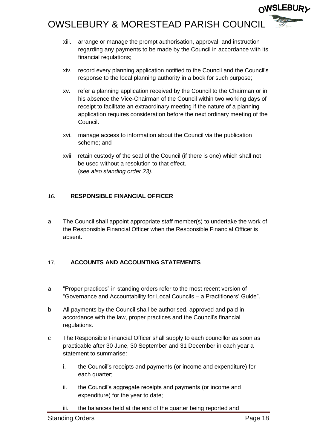- xiii. arrange or manage the prompt authorisation, approval, and instruction regarding any payments to be made by the Council in accordance with its financial regulations;
- xiv. record every planning application notified to the Council and the Council's response to the local planning authority in a book for such purpose;
- xv. refer a planning application received by the Council to the Chairman or in his absence the Vice-Chairman of the Council within two working days of receipt to facilitate an extraordinary meeting if the nature of a planning application requires consideration before the next ordinary meeting of the Council.
- xvi. manage access to information about the Council via the publication scheme; and
- xvii. retain custody of the seal of the Council (if there is one) which shall not be used without a resolution to that effect. (s*ee also standing order 23).*

#### <span id="page-17-0"></span>16. **RESPONSIBLE FINANCIAL OFFICER**

a The Council shall appoint appropriate staff member(s) to undertake the work of the Responsible Financial Officer when the Responsible Financial Officer is absent.

#### <span id="page-17-1"></span>17. **ACCOUNTS AND ACCOUNTING STATEMENTS**

- a "Proper practices" in standing orders refer to the most recent version of "Governance and Accountability for Local Councils – a Practitioners' Guide".
- b All payments by the Council shall be authorised, approved and paid in accordance with the law, proper practices and the Council's financial regulations.
- c The Responsible Financial Officer shall supply to each councillor as soon as practicable after 30 June, 30 September and 31 December in each year a statement to summarise:
	- i. the Council's receipts and payments (or income and expenditure) for each quarter;
	- ii. the Council's aggregate receipts and payments (or income and expenditure) for the year to date;
	- iii. the balances held at the end of the quarter being reported and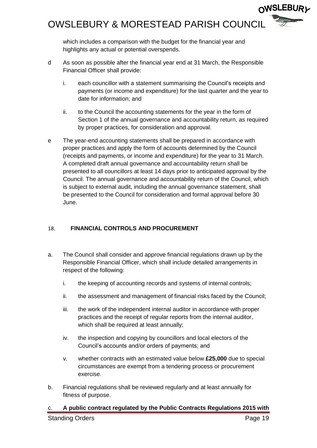which includes a comparison with the budget for the financial year and highlights any actual or potential overspends.

- d As soon as possible after the financial year end at 31 March, the Responsible Financial Officer shall provide:
	- i. each councillor with a statement summarising the Council's receipts and payments (or income and expenditure) for the last quarter and the year to date for information; and
	- ii. to the Council the accounting statements for the year in the form of Section 1 of the annual governance and accountability return, as required by proper practices, for consideration and approval.
- e The year-end accounting statements shall be prepared in accordance with proper practices and apply the form of accounts determined by the Council (receipts and payments, or income and expenditure) for the year to 31 March. A completed draft annual governance and accountability return shall be presented to all councillors at least 14 days prior to anticipated approval by the Council. The annual governance and accountability return of the Council, which is subject to external audit, including the annual governance statement, shall be presented to the Council for consideration and formal approval before 30 June.

#### <span id="page-18-0"></span>18. **FINANCIAL CONTROLS AND PROCUREMENT**

- a. The Council shall consider and approve financial regulations drawn up by the Responsible Financial Officer, which shall include detailed arrangements in respect of the following:
	- i. the keeping of accounting records and systems of internal controls;
	- ii. the assessment and management of financial risks faced by the Council;
	- iii. the work of the independent internal auditor in accordance with proper practices and the receipt of regular reports from the internal auditor, which shall be required at least annually:
	- iv. the inspection and copying by councillors and local electors of the Council's accounts and/or orders of payments; and
	- v. whether contracts with an estimated value below **£25,000** due to special circumstances are exempt from a tendering process or procurement exercise.
- b. Financial regulations shall be reviewed regularly and at least annually for fitness of purpose.

### c. **A public contract regulated by the Public Contracts Regulations 2015 with**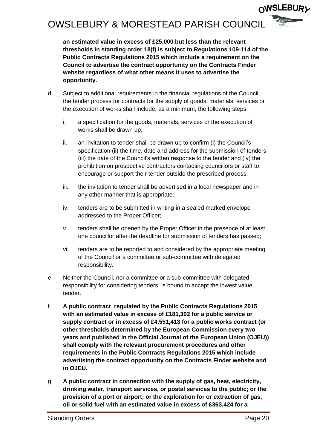**an estimated value in excess of £25,000 but less than the relevant thresholds in standing order 18(f) is subject to Regulations 109-114 of the Public Contracts Regulations 2015 which include a requirement on the Council to advertise the contract opportunity on the Contracts Finder website regardless of what other means it uses to advertise the opportunity.**

- d. Subject to additional requirements in the financial regulations of the Council, the tender process for contracts for the supply of goods, materials, services or the execution of works shall include, as a minimum, the following steps:
	- i. a specification for the goods, materials, services or the execution of works shall be drawn up;
	- ii. an invitation to tender shall be drawn up to confirm (i) the Council's specification (ii) the time, date and address for the submission of tenders (iii) the date of the Council's written response to the tender and (iv) the prohibition on prospective contractors contacting councillors or staff to encourage or support their tender outside the prescribed process;
	- iii. the invitation to tender shall be advertised in a local newspaper and in any other manner that is appropriate;
	- iv. tenders are to be submitted in writing in a sealed marked envelope addressed to the Proper Officer;
	- v. tenders shall be opened by the Proper Officer in the presence of at least one councillor after the deadline for submission of tenders has passed;
	- vi. tenders are to be reported to and considered by the appropriate meeting of the Council or a committee or sub-committee with delegated responsibility.
- e. Neither the Council, nor a committee or a sub-committee with delegated responsibility for considering tenders, is bound to accept the lowest value tender.
- f. **A public contract regulated by the Public Contracts Regulations 2015 with an estimated value in excess of £181,302 for a public service or supply contract or in excess of £4,551,413 for a public works contract (or other thresholds determined by the European Commission every two years and published in the Official Journal of the European Union (OJEU)) shall comply with the relevant procurement procedures and other requirements in the Public Contracts Regulations 2015 which include advertising the contract opportunity on the Contracts Finder website and in OJEU.**
- g. **A public contract in connection with the supply of gas, heat, electricity, drinking water, transport services, or postal services to the public; or the provision of a port or airport; or the exploration for or extraction of gas, oil or solid fuel with an estimated value in excess of £363,424 for a**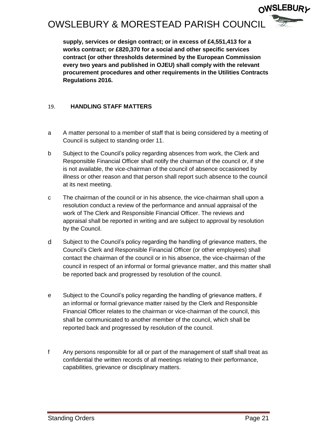

**supply, services or design contract; or in excess of £4,551,413 for a works contract; or £820,370 for a social and other specific services contract (or other thresholds determined by the European Commission every two years and published in OJEU) shall comply with the relevant procurement procedures and other requirements in the Utilities Contracts Regulations 2016.**

#### <span id="page-20-0"></span>19. **HANDLING STAFF MATTERS**

- a A matter personal to a member of staff that is being considered by a meeting of Council is subject to standing order 11.
- b Subject to the Council's policy regarding absences from work, the Clerk and Responsible Financial Officer shall notify the chairman of the council or, if she is not available, the vice-chairman of the council of absence occasioned by illness or other reason and that person shall report such absence to the council at its next meeting.
- c The chairman of the council or in his absence, the vice-chairman shall upon a resolution conduct a review of the performance and annual appraisal of the work of The Clerk and Responsible Financial Officer. The reviews and appraisal shall be reported in writing and are subject to approval by resolution by the Council.
- d Subject to the Council's policy regarding the handling of grievance matters, the Council's Clerk and Responsible Financial Officer (or other employees) shall contact the chairman of the council or in his absence, the vice-chairman of the council in respect of an informal or formal grievance matter, and this matter shall be reported back and progressed by resolution of the council.
- e Subject to the Council's policy regarding the handling of grievance matters, if an informal or formal grievance matter raised by the Clerk and Responsible Financial Officer relates to the chairman or vice-chairman of the council, this shall be communicated to another member of the council, which shall be reported back and progressed by resolution of the council.
- f Any persons responsible for all or part of the management of staff shall treat as confidential the written records of all meetings relating to their performance, capabilities, grievance or disciplinary matters.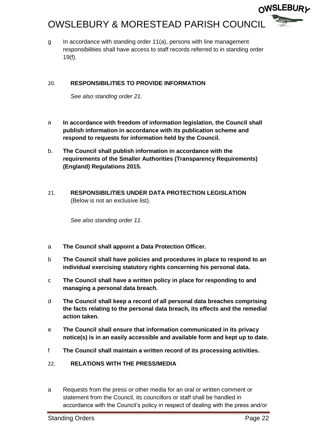g In accordance with standing order 11(a), persons with line management responsibilities shall have access to staff records referred to in standing order 19(f).

#### <span id="page-21-0"></span>20. **RESPONSIBILITIES TO PROVIDE INFORMATION**

*See also standing order 21.*

- a **In accordance with freedom of information legislation, the Council shall publish information in accordance with its publication scheme and respond to requests for information held by the Council.**
- b. **The Council shall publish information in accordance with the requirements of the Smaller Authorities (Transparency Requirements) (England) Regulations 2015.**
- <span id="page-21-1"></span>21. **RESPONSIBILITIES UNDER DATA PROTECTION LEGISLATION**  (Below is not an exclusive list).

*See also standing order 11.*

- a **The Council shall appoint a Data Protection Officer.**
- b **The Council shall have policies and procedures in place to respond to an individual exercising statutory rights concerning his personal data.**
- c **The Council shall have a written policy in place for responding to and managing a personal data breach.**
- d **The Council shall keep a record of all personal data breaches comprising the facts relating to the personal data breach, its effects and the remedial action taken.**
- e **The Council shall ensure that information communicated in its privacy notice(s) is in an easily accessible and available form and kept up to date.**
- f **The Council shall maintain a written record of its processing activities.**
- <span id="page-21-2"></span>22. **RELATIONS WITH THE PRESS/MEDIA**
- a Requests from the press or other media for an oral or written comment or statement from the Council, its councillors or staff shall be handled in accordance with the Council's policy in respect of dealing with the press and/or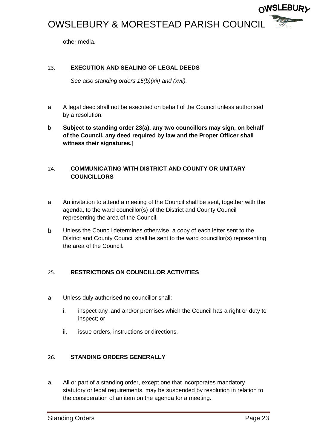

#### <span id="page-22-0"></span>23. **EXECUTION AND SEALING OF LEGAL DEEDS**

*See also standing orders 15(b)(xii) and (xvii).*

- a A legal deed shall not be executed on behalf of the Council unless authorised by a resolution.
- b **Subject to standing order 23(a), any two councillors may sign, on behalf of the Council, any deed required by law and the Proper Officer shall witness their signatures.]**

#### <span id="page-22-1"></span>24. **COMMUNICATING WITH DISTRICT AND COUNTY OR UNITARY COUNCILLORS**

- a An invitation to attend a meeting of the Council shall be sent, together with the agenda, to the ward councillor(s) of the District and County Council representing the area of the Council.
- **b** Unless the Council determines otherwise, a copy of each letter sent to the District and County Council shall be sent to the ward councillor(s) representing the area of the Council.

#### <span id="page-22-2"></span>25. **RESTRICTIONS ON COUNCILLOR ACTIVITIES**

- a. Unless duly authorised no councillor shall:
	- i. inspect any land and/or premises which the Council has a right or duty to inspect; or
	- ii. issue orders, instructions or directions.

#### <span id="page-22-3"></span>26. **STANDING ORDERS GENERALLY**

a All or part of a standing order, except one that incorporates mandatory statutory or legal requirements, may be suspended by resolution in relation to the consideration of an item on the agenda for a meeting.